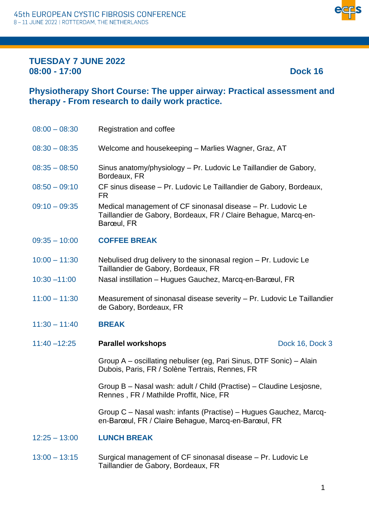

### **TUESDAY 7 JUNE 2022 08:00 - 17:00 Dock 16**

## **Physiotherapy Short Course: The upper airway: Practical assessment and therapy - From research to daily work practice.**

| $08:00 - 08:30$                      | Registration and coffee                               |
|--------------------------------------|-------------------------------------------------------|
| $08:30 - 08:35$                      | Welcome and housekeeping – Marlies Wagner, Graz, AT   |
| 0.0.0E<br>$\bigcap_{n\in\mathbb{N}}$ | Cinus anatomy/physiology Dr. Ludovia La Taillandiardo |

- 08:35 08:50 Sinus anatomy/physiology Pr. Ludovic Le Taillandier de Gabory, Bordeaux, FR
- 08:50 09:10 CF sinus disease Pr. Ludovic Le Taillandier de Gabory, Bordeaux, FR
- 09:10 09:35 Medical management of CF sinonasal disease Pr. Ludovic Le Taillandier de Gabory, Bordeaux, FR / Claire Behague, Marcq-en-Barœul, FR
- 09:35 10:00 **COFFEE BREAK**
- 10:00 11:30 Nebulised drug delivery to the sinonasal region Pr. Ludovic Le Taillandier de Gabory, Bordeaux, FR
- 10:30 –11:00 Nasal instillation Hugues Gauchez, Marcq-en-Barœul, FR
- 11:00 11:30 Measurement of sinonasal disease severity Pr. Ludovic Le Taillandier de Gabory, Bordeaux, FR

### 11:30 – 11:40 **BREAK**

11:40 –12:25 **Parallel workshops Dock 16, Dock 3** 

Group A – oscillating nebuliser (eg, Pari Sinus, DTF Sonic) – Alain Dubois, Paris, FR / Solène Tertrais, Rennes, FR

Group B – Nasal wash: adult / Child (Practise) – Claudine Lesjosne, Rennes , FR / Mathilde Proffit, Nice, FR

Group C – Nasal wash: infants (Practise) – Hugues Gauchez, Marcqen-Barœul, FR / Claire Behague, Marcq-en-Barœul, FR

- 12:25 13:00 **LUNCH BREAK**
- 13:00 13:15 Surgical management of CF sinonasal disease Pr. Ludovic Le Taillandier de Gabory, Bordeaux, FR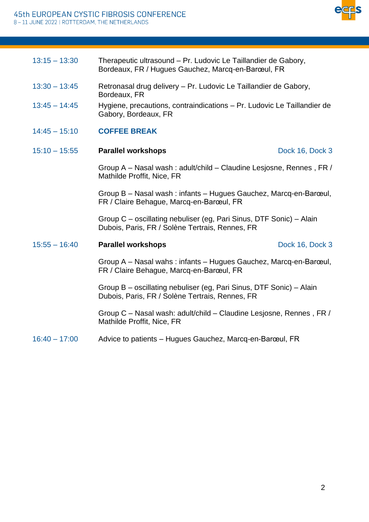

| $13:15 - 13:30$ | Therapeutic ultrasound – Pr. Ludovic Le Taillandier de Gabory,<br>Bordeaux, FR / Hugues Gauchez, Marcq-en-Barœul, FR |
|-----------------|----------------------------------------------------------------------------------------------------------------------|
|                 |                                                                                                                      |

- 13:30 13:45 Retronasal drug delivery Pr. Ludovic Le Taillandier de Gabory, Bordeaux, FR
- 13:45 14:45 Hygiene, precautions, contraindications Pr. Ludovic Le Taillandier de Gabory, Bordeaux, FR
- 14:45 15:10 **COFFEE BREAK**
- 15:10 15:55 **Parallel workshops** Dock 16, Dock 3

Group A – Nasal wash : adult/child – Claudine Lesjosne, Rennes , FR / Mathilde Proffit, Nice, FR

Group B – Nasal wash : infants – Hugues Gauchez, Marcq-en-Barœul, FR / Claire Behague, Marcq-en-Barœul, FR

Group C – oscillating nebuliser (eg, Pari Sinus, DTF Sonic) – Alain Dubois, Paris, FR / Solène Tertrais, Rennes, FR

#### 15:55 – 16:40 **Parallel workshops** Dock 16, Dock 3

Group A – Nasal wahs : infants – Hugues Gauchez, Marcq-en-Barœul, FR / Claire Behague, Marcq-en-Barœul, FR

Group B – oscillating nebuliser (eg, Pari Sinus, DTF Sonic) – Alain Dubois, Paris, FR / Solène Tertrais, Rennes, FR

Group C – Nasal wash: adult/child – Claudine Lesjosne, Rennes , FR / Mathilde Proffit, Nice, FR

16:40 – 17:00 Advice to patients – Hugues Gauchez, Marcq-en-Barœul, FR